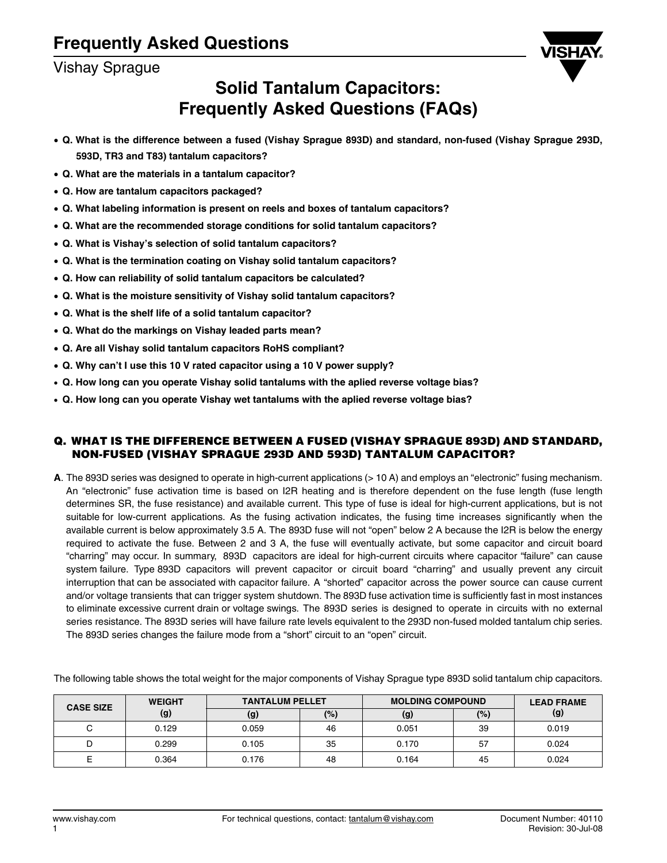## Vishay Sprague



# **Solid Tantalum Capacitors: Frequently Asked Questions (FAQs)**

- **Q. What is the difference between a fused (Vishay Sprague 893D) and standard, non-fused (Vishay Sprague 293D, 593D, TR3 and T83) tantalum capacitors?**
- **Q. What are the materials in a tantalum capacitor?**
- **Q. How are tantalum capacitors packaged?**
- **Q. What labeling information is present on reels and boxes of tantalum capacitors?**
- **Q. What are the recommended storage conditions for solid tantalum capacitors?**
- **Q. What is Vishay's selection of solid tantalum capacitors?**
- **Q. What is the termination coating on Vishay solid tantalum capacitors?**
- **Q. How can reliability of solid tantalum capacitors be calculated?**
- **Q. What is the moisture sensitivity of Vishay solid tantalum capacitors?**
- **Q. What is the shelf life of a solid tantalum capacitor?**
- **Q. What do the markings on Vishay leaded parts mean?**
- **Q. Are all Vishay solid tantalum capacitors RoHS compliant?**
- **Q. Why can't I use this 10 V rated capacitor using a 10 V power supply?**
- **Q. How long can you operate Vishay solid tantalums with the aplied reverse voltage bias?**
- **Q. How long can you operate Vishay wet tantalums with the aplied reverse voltage bias?**

## **Q. WHAT IS THE DIFFERENCE BETWEEN A FUSED (VISHAY SPRAGUE 893D) AND STANDARD, NON-FUSED (VISHAY SPRAGUE 293D AND 593D) TANTALUM CAPACITOR?**

**A**. The 893D series was designed to operate in high-current applications (> 10 A) and employs an "electronic" fusing mechanism. An "electronic" fuse activation time is based on I2R heating and is therefore dependent on the fuse length (fuse length determines SR, the fuse resistance) and available current. This type of fuse is ideal for high-current applications, but is not suitable for low-current applications. As the fusing activation indicates, the fusing time increases significantly when the available current is below approximately 3.5 A. The 893D fuse will not "open" below 2 A because the I2R is below the energy required to activate the fuse. Between 2 and 3 A, the fuse will eventually activate, but some capacitor and circuit board "charring" may occur. In summary, 893D capacitors are ideal for high-current circuits where capacitor "failure" can cause system failure. Type 893D capacitors will prevent capacitor or circuit board "charring" and usually prevent any circuit interruption that can be associated with capacitor failure. A "shorted" capacitor across the power source can cause current and/or voltage transients that can trigger system shutdown. The 893D fuse activation time is sufficiently fast in most instances to eliminate excessive current drain or voltage swings. The 893D series is designed to operate in circuits with no external series resistance. The 893D series will have failure rate levels equivalent to the 293D non-fused molded tantalum chip series. The 893D series changes the failure mode from a "short" circuit to an "open" circuit.

| <b>CASE SIZE</b> | <b>WEIGHT</b> | <b>TANTALUM PELLET</b> |        | <b>MOLDING COMPOUND</b> |     | <b>LEAD FRAME</b> |
|------------------|---------------|------------------------|--------|-------------------------|-----|-------------------|
|                  | (g)           | (g)                    | $(\%)$ | (g)                     | (%) | (g)               |
|                  | 0.129         | 0.059                  | 46     | 0.051                   | 39  | 0.019             |
|                  | 0.299         | 0.105                  | 35     | 0.170                   | 57  | 0.024             |
|                  | 0.364         | 0.176                  | 48     | 0.164                   | 45  | 0.024             |

The following table shows the total weight for the major components of Vishay Sprague type 893D solid tantalum chip capacitors.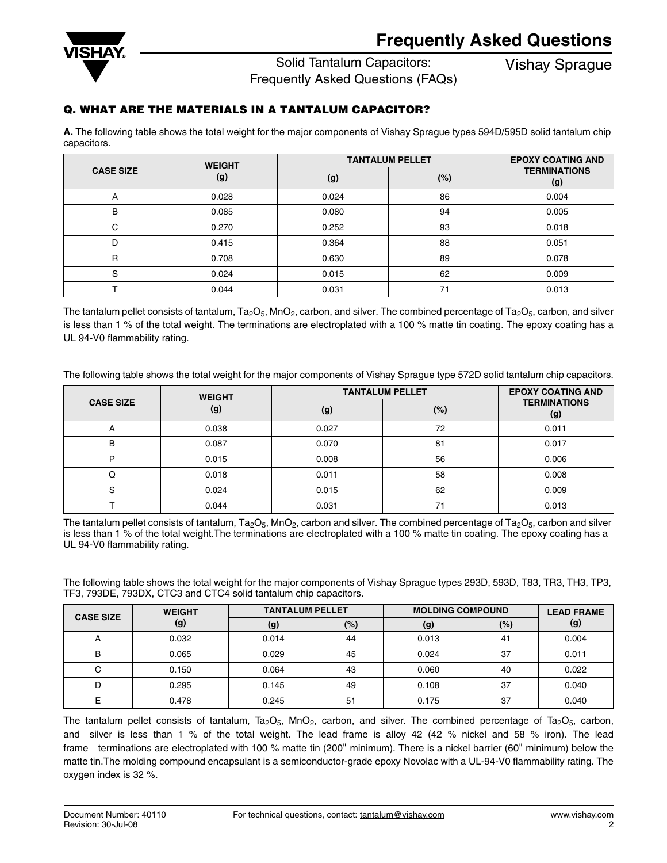

Solid Tantalum Capacitors:

Vishay Sprague

Frequently Asked Questions (FAQs)

## **Q. WHAT ARE THE MATERIALS IN A TANTALUM CAPACITOR?**

**A.** The following table shows the total weight for the major components of Vishay Sprague types 594D/595D solid tantalum chip capacitors.

|                  | <b>WEIGHT</b> | <b>TANTALUM PELLET</b> | <b>EPOXY COATING AND</b> |                            |
|------------------|---------------|------------------------|--------------------------|----------------------------|
| <b>CASE SIZE</b> | (g)           | (g)                    | (%)                      | <b>TERMINATIONS</b><br>(g) |
| А                | 0.028         | 0.024                  | 86                       | 0.004                      |
| в                | 0.085         | 0.080                  | 94                       | 0.005                      |
| C                | 0.270         | 0.252                  | 93                       | 0.018                      |
| D                | 0.415         | 0.364                  | 88                       | 0.051                      |
| R                | 0.708         | 0.630                  | 89                       | 0.078                      |
| S                | 0.024         | 0.015                  | 62                       | 0.009                      |
|                  | 0.044         | 0.031                  |                          | 0.013                      |

The tantalum pellet consists of tantalum,  $Ta_2O_5$ ,  $MnO_2$ , carbon, and silver. The combined percentage of Ta<sub>2</sub>O<sub>5</sub>, carbon, and silver is less than 1 % of the total weight. The terminations are electroplated with a 100 % matte tin coating. The epoxy coating has a UL 94-V0 flammability rating.

The following table shows the total weight for the major components of Vishay Sprague type 572D solid tantalum chip capacitors.

| <b>WEIGHT</b>    |       | <b>TANTALUM PELLET</b> | <b>EPOXY COATING AND</b> |                            |
|------------------|-------|------------------------|--------------------------|----------------------------|
| <b>CASE SIZE</b> | (g)   | (g)                    | (%)                      | <b>TERMINATIONS</b><br>(g) |
| A                | 0.038 | 0.027                  | 72                       | 0.011                      |
| B                | 0.087 | 0.070                  | 81                       | 0.017                      |
| P                | 0.015 | 0.008                  | 56                       | 0.006                      |
| Q                | 0.018 | 0.011                  | 58                       | 0.008                      |
| S                | 0.024 | 0.015                  | 62                       | 0.009                      |
|                  | 0.044 | 0.031                  | 71                       | 0.013                      |

The tantalum pellet consists of tantalum,  $Ta_2O_5$ , MnO<sub>2</sub>, carbon and silver. The combined percentage of Ta<sub>2</sub>O<sub>5</sub>, carbon and silver is less than 1 % of the total weight.The terminations are electroplated with a 100 % matte tin coating. The epoxy coating has a UL 94-V0 flammability rating.

The following table shows the total weight for the major components of Vishay Sprague types 293D, 593D, T83, TR3, TH3, TP3, TF3, 793DE, 793DX, CTC3 and CTC4 solid tantalum chip capacitors.

| <b>CASE SIZE</b> | <b>WEIGHT</b> | <b>TANTALUM PELLET</b> |     | <b>MOLDING COMPOUND</b> |     | <b>LEAD FRAME</b> |
|------------------|---------------|------------------------|-----|-------------------------|-----|-------------------|
|                  | (g)           | (g)                    | (%) | (g)                     | (%) | (g)               |
| $\mathsf{A}$     | 0.032         | 0.014                  | 44  | 0.013                   | 41  | 0.004             |
| B                | 0.065         | 0.029                  | 45  | 0.024                   | 37  | 0.011             |
|                  | 0.150         | 0.064                  | 43  | 0.060                   | 40  | 0.022             |
|                  | 0.295         | 0.145                  | 49  | 0.108                   | 37  | 0.040             |
|                  | 0.478         | 0.245                  | 51  | 0.175                   | 37  | 0.040             |

The tantalum pellet consists of tantalum, Ta<sub>2</sub>O<sub>5</sub>, MnO<sub>2</sub>, carbon, and silver. The combined percentage of Ta<sub>2</sub>O<sub>5</sub>, carbon, and silver is less than 1 % of the total weight. The lead frame is alloy 42 (42 % nickel and 58 % iron). The lead frame terminations are electroplated with 100 % matte tin (200" minimum). There is a nickel barrier (60" minimum) below the matte tin.The molding compound encapsulant is a semiconductor-grade epoxy Novolac with a UL-94-V0 flammability rating. The oxygen index is 32 %.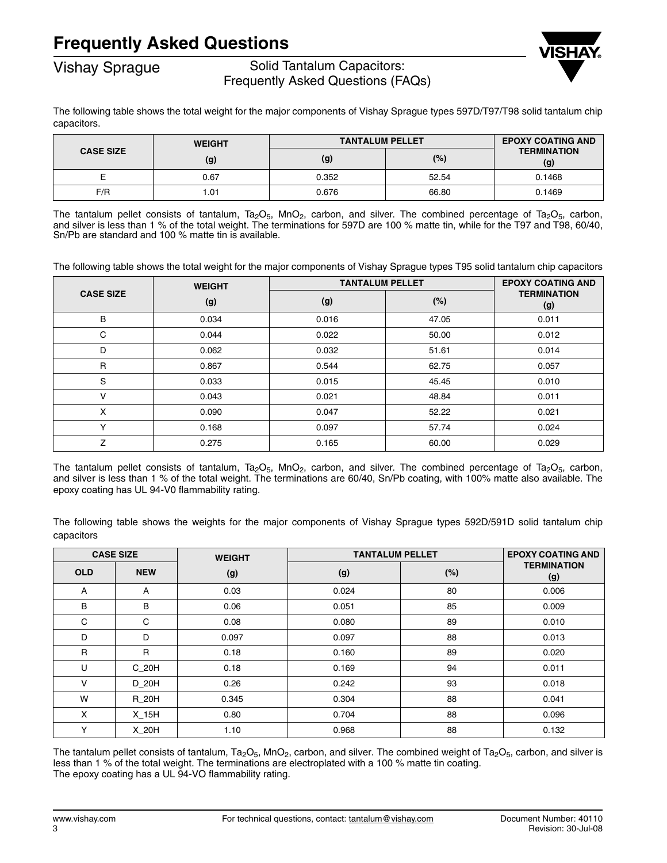# **Frequently Asked Questions**



## Vishay Sprague Solid Tantalum Capacitors: Frequently Asked Questions (FAQs)



The following table shows the total weight for the major components of Vishay Sprague types 597D/T97/T98 solid tantalum chip capacitors.

|                  | <b>WEIGHT</b> | <b>TANTALUM PELLET</b> | <b>EPOXY COATING AND</b> |                           |
|------------------|---------------|------------------------|--------------------------|---------------------------|
| <b>CASE SIZE</b> | (g)           | (g)                    | (%)                      | <b>TERMINATION</b><br>(g) |
|                  | 0.67          | 0.352                  | 52.54                    | 0.1468                    |
| F/R              | .01           | 0.676                  | 66.80                    | 0.1469                    |

The tantalum pellet consists of tantalum, Ta<sub>2</sub>O<sub>5</sub>, MnO<sub>2</sub>, carbon, and silver. The combined percentage of Ta<sub>2</sub>O<sub>5</sub>, carbon, and silver is less than 1 % of the total weight. The terminations for 597D are 100 % matte tin, while for the T97 and T98, 60/40, Sn/Pb are standard and 100 % matte tin is available.

The following table shows the total weight for the major components of Vishay Sprague types T95 solid tantalum chip capacitors

|                  | <b>WEIGHT</b> | <b>TANTALUM PELLET</b> |        | <b>EPOXY COATING AND</b>  |
|------------------|---------------|------------------------|--------|---------------------------|
| <b>CASE SIZE</b> | (g)           | (g)                    | $(\%)$ | <b>TERMINATION</b><br>(g) |
| B                | 0.034         | 0.016                  | 47.05  | 0.011                     |
| C                | 0.044         | 0.022                  | 50.00  | 0.012                     |
| D                | 0.062         | 0.032                  | 51.61  | 0.014                     |
| $\mathsf{R}$     | 0.867         | 0.544                  | 62.75  | 0.057                     |
| S                | 0.033         | 0.015                  | 45.45  | 0.010                     |
| v                | 0.043         | 0.021                  | 48.84  | 0.011                     |
| X                | 0.090         | 0.047                  | 52.22  | 0.021                     |
| $\checkmark$     | 0.168         | 0.097                  | 57.74  | 0.024                     |
| $\overline{z}$   | 0.275         | 0.165                  | 60.00  | 0.029                     |

The tantalum pellet consists of tantalum, Ta<sub>2</sub>O<sub>5</sub>, MnO<sub>2</sub>, carbon, and silver. The combined percentage of Ta<sub>2</sub>O<sub>5</sub>, carbon, and silver is less than 1 % of the total weight. The terminations are 60/40, Sn/Pb coating, with 100% matte also available. The epoxy coating has UL 94-V0 flammability rating.

The following table shows the weights for the major components of Vishay Sprague types 592D/591D solid tantalum chip capacitors

|              | <b>CASE SIZE</b><br><b>TANTALUM PELLET</b><br><b>WEIGHT</b> |       |       | <b>EPOXY COATING AND</b> |                           |
|--------------|-------------------------------------------------------------|-------|-------|--------------------------|---------------------------|
| <b>OLD</b>   | <b>NEW</b>                                                  | (g)   | (g)   | (%)                      | <b>TERMINATION</b><br>(g) |
| A            | A                                                           | 0.03  | 0.024 | 80                       | 0.006                     |
| B            | B                                                           | 0.06  | 0.051 | 85                       | 0.009                     |
| C            | C                                                           | 0.08  | 0.080 | 89                       | 0.010                     |
| D            | D                                                           | 0.097 | 0.097 | 88                       | 0.013                     |
| $\mathsf{R}$ | $\mathsf{R}$                                                | 0.18  | 0.160 | 89                       | 0.020                     |
| U            | C 20H                                                       | 0.18  | 0.169 | 94                       | 0.011                     |
| ν            | D 20H                                                       | 0.26  | 0.242 | 93                       | 0.018                     |
| W            | R 20H                                                       | 0.345 | 0.304 | 88                       | 0.041                     |
| X            | X 15H                                                       | 0.80  | 0.704 | 88                       | 0.096                     |
| Υ            | X 20H                                                       | 1.10  | 0.968 | 88                       | 0.132                     |

The tantalum pellet consists of tantalum, Ta<sub>2</sub>O<sub>5</sub>, MnO<sub>2</sub>, carbon, and silver. The combined weight of Ta<sub>2</sub>O<sub>5</sub>, carbon, and silver is less than 1 % of the total weight. The terminations are electroplated with a 100 % matte tin coating. The epoxy coating has a UL 94-VO flammability rating.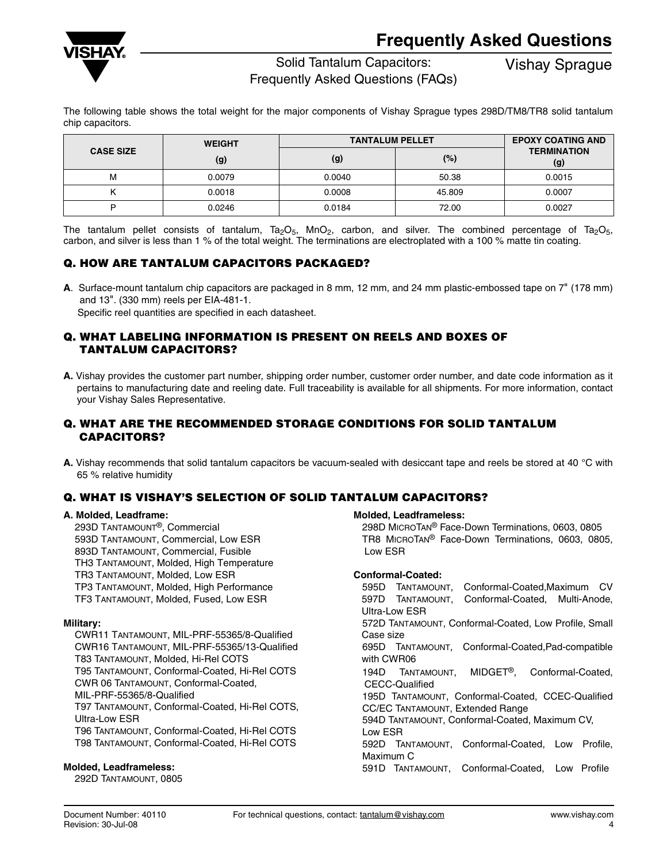

## Solid Tantalum Capacitors:

Frequently Asked Questions (FAQs)

Vishay Sprague

The following table shows the total weight for the major components of Vishay Sprague types 298D/TM8/TR8 solid tantalum chip capacitors.

|                         | <b>WEIGHT</b> | <b>TANTALUM PELLET</b> | <b>EPOXY COATING AND</b> |                           |
|-------------------------|---------------|------------------------|--------------------------|---------------------------|
| <b>CASE SIZE</b><br>(g) |               | (g)                    | (%)                      | <b>TERMINATION</b><br>(g) |
| м                       | 0.0079        | 0.0040                 | 50.38                    | 0.0015                    |
|                         | 0.0018        | 0.0008                 | 45.809                   | 0.0007                    |
|                         | 0.0246        | 0.0184                 | 72.00                    | 0.0027                    |

The tantalum pellet consists of tantalum, Ta<sub>2</sub>O<sub>5</sub>, MnO<sub>2</sub>, carbon, and silver. The combined percentage of Ta<sub>2</sub>O<sub>5</sub>, carbon, and silver is less than 1 % of the total weight. The terminations are electroplated with a 100 % matte tin coating.

## **Q. HOW ARE TANTALUM CAPACITORS PACKAGED?**

**A**. Surface-mount tantalum chip capacitors are packaged in 8 mm, 12 mm, and 24 mm plastic-embossed tape on 7" (178 mm) and 13". (330 mm) reels per EIA-481-1.

Specific reel quantities are specified in each datasheet.

## **Q. WHAT LABELING INFORMATION IS PRESENT ON REELS AND BOXES OF TANTALUM CAPACITORS?**

**A.** Vishay provides the customer part number, shipping order number, customer order number, and date code information as it pertains to manufacturing date and reeling date. Full traceability is available for all shipments. For more information, contact your Vishay Sales Representative.

## **Q. WHAT ARE THE RECOMMENDED STORAGE CONDITIONS FOR SOLID TANTALUM CAPACITORS?**

**A.** Vishay recommends that solid tantalum capacitors be vacuum-sealed with desiccant tape and reels be stored at 40 °C with 65 % relative humidity

## **Q. WHAT IS VISHAY'S SELECTION OF SOLID TANTALUM CAPACITORS?**

#### **A. Molded, Leadframe:**

293D TANTAMOUNT®, Commercial 593D TANTAMOUNT, Commercial, Low ESR 893D TANTAMOUNT, Commercial, Fusible TH3 TANTAMOUNT, Molded, High Temperature TR3 TANTAMOUNT, Molded, Low ESR TP3 TANTAMOUNT, Molded, High Performance TF3 TANTAMOUNT, Molded, Fused, Low ESR

## **Military:**

CWR11 TANTAMOUNT, MIL-PRF-55365/8-Qualified CWR16 TANTAMOUNT, MIL-PRF-55365/13-Qualified T83 TANTAMOUNT, Molded, Hi-Rel COTS T95 TANTAMOUNT, Conformal-Coated, Hi-Rel COTS CWR 06 TANTAMOUNT, Conformal-Coated, MIL-PRF-55365/8-Qualified T97 TANTAMOUNT, Conformal-Coated, Hi-Rel COTS, Ultra-Low ESR T96 TANTAMOUNT, Conformal-Coated, Hi-Rel COTS T98 TANTAMOUNT, Conformal-Coated, Hi-Rel COTS

## **Molded, Leadframeless:**

292D TANTAMOUNT, 0805

## **Molded, Leadframeless:**

298D MICROTAN® Face-Down Terminations, 0603, 0805 TR8 MICROTAN® Face-Down Terminations, 0603, 0805, Low ESR

#### **Conformal-Coated:**

595D TANTAMOUNT, Conformal-Coated,Maximum CV 597D TANTAMOUNT, Conformal-Coated, Multi-Anode, Ultra-Low ESR 572D TANTAMOUNT, Conformal-Coated, Low Profile, Small Case size 695D TANTAMOUNT, Conformal-Coated,Pad-compatible with CWR06 194D TANTAMOUNT, MIDGET®, Conformal-Coated, CECC-Qualified 195D TANTAMOUNT, Conformal-Coated, CCEC-Qualified CC/EC TANTAMOUNT, Extended Range 594D TANTAMOUNT, Conformal-Coated, Maximum CV, Low ESR 592D TANTAMOUNT, Conformal-Coated, Low Profile, Maximum C 591D TANTAMOUNT, Conformal-Coated, Low Profile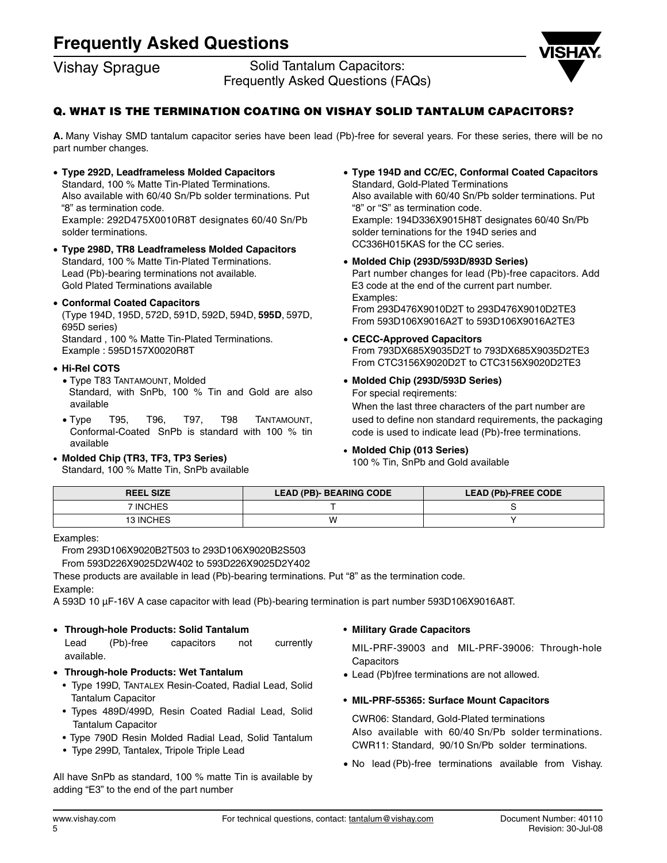# **Frequently Asked Questions**

Vishay Sprague Solid Tantalum Capacitors: Frequently Asked Questions (FAQs)



## **Q. WHAT IS THE TERMINATION COATING ON VISHAY SOLID TANTALUM CAPACITORS?**

**A.** Many Vishay SMD tantalum capacitor series have been lead (Pb)-free for several years. For these series, there will be no part number changes.

- **Type 292D, Leadframeless Molded Capacitors** Standard, 100 % Matte Tin-Plated Terminations. Also available with 60/40 Sn/Pb solder terminations. Put "8" as termination code. Example: 292D475X0010R8T designates 60/40 Sn/Pb solder terminations.
- **Type 298D, TR8 Leadframeless Molded Capacitors** Standard, 100 % Matte Tin-Plated Terminations. Lead (Pb)-bearing terminations not available. Gold Plated Terminations available
- **Conformal Coated Capacitors**  (Type 194D, 195D, 572D, 591D, 592D, 594D, **595D**, 597D, 695D series) Standard , 100 % Matte Tin-Plated Terminations. Example : 595D157X0020R8T

#### • **Hi-Rel COTS**

- Type T83 TANTAMOUNT, Molded Standard, with SnPb, 100 % Tin and Gold are also available
- Type T95, T96, T97, T98 TANTAMOUNT, Conformal-Coated SnPb is standard with 100 % tin available
- **Molded Chip (TR3, TF3, TP3 Series)** Standard, 100 % Matte Tin, SnPb available
- **Type 194D and CC/EC, Conformal Coated Capacitors** Standard, Gold-Plated Terminations Also available with 60/40 Sn/Pb solder terminations. Put "8" or "S" as termination code. Example: 194D336X9015H8T designates 60/40 Sn/Pb solder terninations for the 194D series and CC336H015KAS for the CC series.
- **Molded Chip (293D/593D/893D Series)** Part number changes for lead (Pb)-free capacitors. Add E3 code at the end of the current part number. Examples: From 293D476X9010D2T to 293D476X9010D2TE3 From 593D106X9016A2T to 593D106X9016A2TE3
- **CECC-Approved Capacitors** From 793DX685X9035D2T to 793DX685X9035D2TE3 From CTC3156X9020D2T to CTC3156X9020D2TE3
- **Molded Chip (293D/593D Series)** For special reqirements:

When the last three characters of the part number are used to define non standard requirements, the packaging code is used to indicate lead (Pb)-free terminations.

#### • **Molded Chip (013 Series)**

100 % Tin, SnPb and Gold available

| <b>REEL SIZE</b> | <b>LEAD (PB)- BEARING CODE</b> | <b>LEAD (Pb)-FREE CODE</b> |
|------------------|--------------------------------|----------------------------|
| 7 INCHES         |                                |                            |
| <b>13 INCHES</b> |                                |                            |

Examples:

From 293D106X9020B2T503 to 293D106X9020B2S503

From 593D226X9025D2W402 to 593D226X9025D2Y402

These products are available in lead (Pb)-bearing terminations. Put "8" as the termination code.

Example:

A 593D 10 µF-16V A case capacitor with lead (Pb)-bearing termination is part number 593D106X9016A8T.

## • **Through-hole Products: Solid Tantalum**

Lead (Pb)-free capacitors not currently available.

- • **Through-hole Products: Wet Tantalum**
	- Type 199D, TANTALEX Resin-Coated, Radial Lead, Solid Tantalum Capacitor
	- Types 489D/499D, Resin Coated Radial Lead, Solid Tantalum Capacitor
	- Type 790D Resin Molded Radial Lead, Solid Tantalum
	- Type 299D, Tantalex, Tripole Triple Lead

## All have SnPb as standard, 100 % matte Tin is available by adding "E3" to the end of the part number

#### **• Military Grade Capacitors**

MIL-PRF-39003 and MIL-PRF-39006: Through-hole **Capacitors** 

• Lead (Pb)free terminations are not allowed.

## **• MIL-PRF-55365: Surface Mount Capacitors**

CWR06: Standard, Gold-Plated terminations Also available with 60/40 Sn/Pb solder terminations. CWR11: Standard, 90/10 Sn/Pb solder terminations.

• No lead (Pb)-free terminations available from Vishay.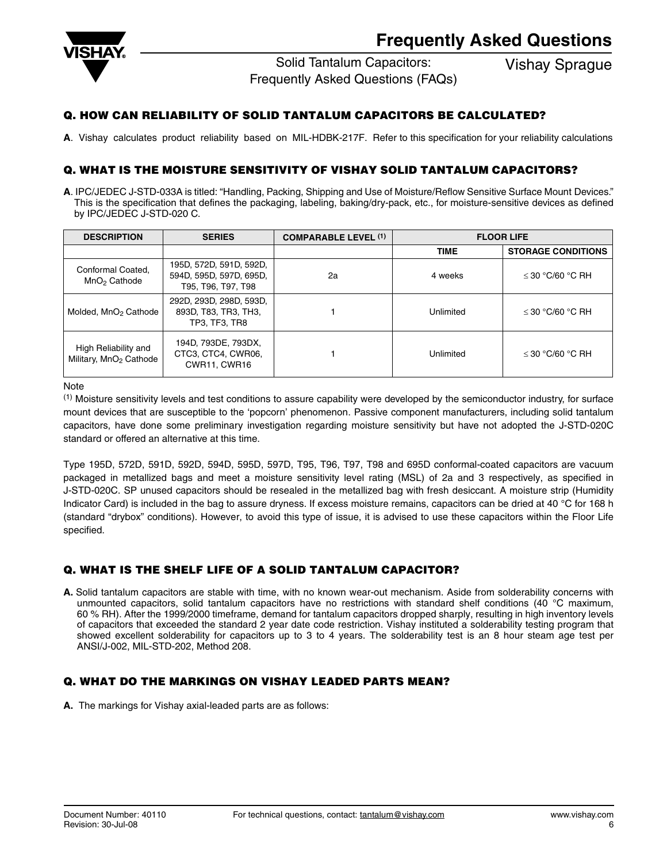

Solid Tantalum Capacitors:

Frequently Asked Questions (FAQs)

Vishay Sprague

## **Q. HOW CAN RELIABILITY OF SOLID TANTALUM CAPACITORS BE CALCULATED?**

**A**. Vishay calculates product reliability based on MIL-HDBK-217F. Refer to this specification for your reliability calculations

## **Q. WHAT IS THE MOISTURE SENSITIVITY OF VISHAY SOLID TANTALUM CAPACITORS?**

**A**. IPC/JEDEC J-STD-033A is titled: "Handling, Packing, Shipping and Use of Moisture/Reflow Sensitive Surface Mount Devices." This is the specification that defines the packaging, labeling, baking/dry-pack, etc., for moisture-sensitive devices as defined by IPC/JEDEC J-STD-020 C.

| <b>DESCRIPTION</b>                                         | <b>SERIES</b>                                                            | <b>COMPARABLE LEVEL (1)</b><br><b>FLOOR LIFE</b> |             |                           |
|------------------------------------------------------------|--------------------------------------------------------------------------|--------------------------------------------------|-------------|---------------------------|
|                                                            |                                                                          |                                                  | <b>TIME</b> | <b>STORAGE CONDITIONS</b> |
| Conformal Coated.<br>MnO <sub>2</sub> Cathode              | 195D, 572D, 591D, 592D,<br>594D, 595D, 597D, 695D,<br>T95, T96, T97, T98 | 2a                                               | 4 weeks     | $\leq$ 30 °C/60 °C RH     |
| Molded, MnO <sub>2</sub> Cathode                           | 292D, 293D, 298D, 593D,<br>893D, T83, TR3, TH3,<br>TP3, TF3, TR8         |                                                  | Unlimited   | $\leq$ 30 °C/60 °C RH     |
| High Reliability and<br>Military, MnO <sub>2</sub> Cathode | 194D, 793DE, 793DX,<br>CTC3, CTC4, CWR06,<br><b>CWR11, CWR16</b>         |                                                  | Unlimited   | $<$ 30 °C/60 °C RH        |

Note

(1) Moisture sensitivity levels and test conditions to assure capability were developed by the semiconductor industry, for surface mount devices that are susceptible to the 'popcorn' phenomenon. Passive component manufacturers, including solid tantalum capacitors, have done some preliminary investigation regarding moisture sensitivity but have not adopted the J-STD-020C standard or offered an alternative at this time.

Type 195D, 572D, 591D, 592D, 594D, 595D, 597D, T95, T96, T97, T98 and 695D conformal-coated capacitors are vacuum packaged in metallized bags and meet a moisture sensitivity level rating (MSL) of 2a and 3 respectively, as specified in J-STD-020C. SP unused capacitors should be resealed in the metallized bag with fresh desiccant. A moisture strip (Humidity Indicator Card) is included in the bag to assure dryness. If excess moisture remains, capacitors can be dried at 40 °C for 168 h (standard "drybox" conditions). However, to avoid this type of issue, it is advised to use these capacitors within the Floor Life specified.

## **Q. WHAT IS THE SHELF LIFE OF A SOLID TANTALUM CAPACITOR?**

**A.** Solid tantalum capacitors are stable with time, with no known wear-out mechanism. Aside from solderability concerns with unmounted capacitors, solid tantalum capacitors have no restrictions with standard shelf conditions (40 °C maximum, 60 % RH). After the 1999/2000 timeframe, demand for tantalum capacitors dropped sharply, resulting in high inventory levels of capacitors that exceeded the standard 2 year date code restriction. Vishay instituted a solderability testing program that showed excellent solderability for capacitors up to 3 to 4 years. The solderability test is an 8 hour steam age test per ANSI/J-002, MIL-STD-202, Method 208.

## **Q. WHAT DO THE MARKINGS ON VISHAY LEADED PARTS MEAN?**

**A.** The markings for Vishay axial-leaded parts are as follows: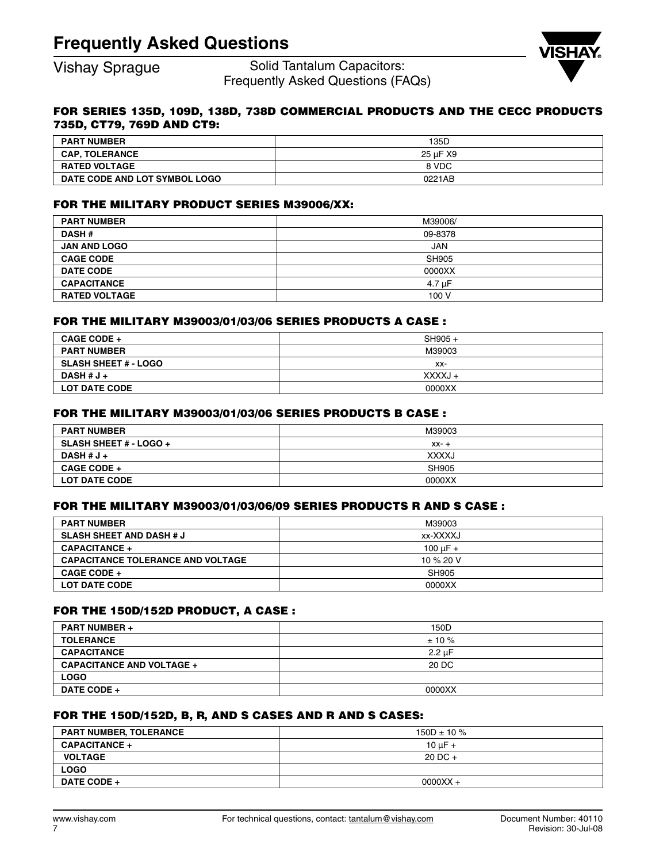Vishay Sprague Solid Tantalum Capacitors: Frequently Asked Questions (FAQs)



## **FOR SERIES 135D, 109D, 138D, 738D COMMERCIAL PRODUCTS AND THE CECC PRODUCTS 735D, CT79, 769D AND CT9:**

| <b>PART NUMBER</b>            | 135D     |
|-------------------------------|----------|
| <b>CAP, TOLERANCE</b>         | 25 uF X9 |
| <b>RATED VOLTAGE</b>          | 8 VDC    |
| DATE CODE AND LOT SYMBOL LOGO | 0221AB   |

## **FOR THE MILITARY PRODUCT SERIES M39006/XX:**

| <b>PART NUMBER</b>   | M39006/    |
|----------------------|------------|
| <b>DASH#</b>         | 09-8378    |
| <b>JAN AND LOGO</b>  | <b>JAN</b> |
| <b>CAGE CODE</b>     | SH905      |
| <b>DATE CODE</b>     | 0000XX     |
| <b>CAPACITANCE</b>   | 4.7 uF     |
| <b>RATED VOLTAGE</b> | 100 V      |

## **FOR THE MILITARY M39003/01/03/06 SERIES PRODUCTS A CASE :**

| <b>CAGE CODE +</b>          | $SH905 +$ |
|-----------------------------|-----------|
| <b>PART NUMBER</b>          | M39003    |
| <b>SLASH SHEET # - LOGO</b> | XX-       |
| DASH $#J+$                  | XXXXJ +   |
| <b>LOT DATE CODE</b>        | 0000XX    |

## **FOR THE MILITARY M39003/01/03/06 SERIES PRODUCTS B CASE :**

| <b>PART NUMBER</b>            | M39003       |
|-------------------------------|--------------|
| <b>SLASH SHEET # - LOGO +</b> | $XX - +$     |
| DASH # $J +$                  | <b>XXXXJ</b> |
| <b>CAGE CODE +</b>            | SH905        |
| <b>LOT DATE CODE</b>          | 0000XX       |

## **FOR THE MILITARY M39003/01/03/06/09 SERIES PRODUCTS R AND S CASE :**

| <b>PART NUMBER</b>                       | M39003        |
|------------------------------------------|---------------|
| <b>SLASH SHEET AND DASH # J</b>          | xx-XXXXJ      |
| <b>CAPACITANCE +</b>                     | 100 $\mu$ F + |
| <b>CAPACITANCE TOLERANCE AND VOLTAGE</b> | 10 % 20 V     |
| <b>CAGE CODE +</b>                       | SH905         |
| <b>LOT DATE CODE</b>                     | 0000XX        |

## **FOR THE 150D/152D PRODUCT, A CASE :**

| <b>PART NUMBER +</b>             | 150D             |
|----------------------------------|------------------|
| <b>TOLERANCE</b>                 | $± 10 \%$        |
| <b>CAPACITANCE</b>               | $2.2 \text{ uF}$ |
| <b>CAPACITANCE AND VOLTAGE +</b> | 20 DC            |
| <b>LOGO</b>                      |                  |
| <b>DATE CODE +</b>               | 0000XX           |

## **FOR THE 150D/152D, B, R, AND S CASES AND R AND S CASES:**

| <b>PART NUMBER, TOLERANCE</b> | $150D \pm 10 \%$ |
|-------------------------------|------------------|
| <b>CAPACITANCE +</b>          | 10 $\mu$ F +     |
| <b>VOLTAGE</b>                | $20$ DC $+$      |
| <b>LOGO</b>                   |                  |
| <b>DATE CODE +</b>            | $0000XX +$       |